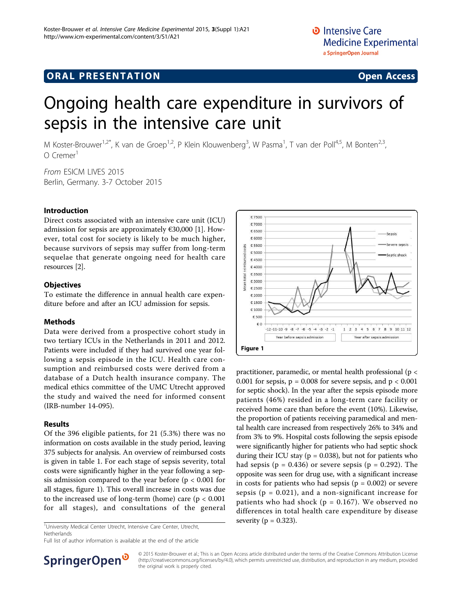# **ORAL PRESENTATION CONSUMING ACCESS**

# Ongoing health care expenditure in survivors of sepsis in the intensive care unit

M Koster-Brouwer<sup>1,2\*</sup>, K van de Groep<sup>1,2</sup>, P Klein Klouwenberg<sup>3</sup>, W Pasma<sup>1</sup>, T van der Poll<sup>4,5</sup>, M Bonten<sup>2,3</sup>,  $\Omega$  Cremer<sup>1</sup>

From ESICM LIVES 2015 Berlin, Germany. 3-7 October 2015

### Introduction

Direct costs associated with an intensive care unit (ICU) admission for sepsis are approximately  $\epsilon$ 30,000 [\[1](#page-1-0)]. However, total cost for society is likely to be much higher, because survivors of sepsis may suffer from long-term sequelae that generate ongoing need for health care resources [\[2\]](#page-1-0).

### **Objectives**

To estimate the difference in annual health care expenditure before and after an ICU admission for sepsis.

### Methods

Data were derived from a prospective cohort study in two tertiary ICUs in the Netherlands in 2011 and 2012. Patients were included if they had survived one year following a sepsis episode in the ICU. Health care consumption and reimbursed costs were derived from a database of a Dutch health insurance company. The medical ethics committee of the UMC Utrecht approved the study and waived the need for informed consent (IRB-number 14-095).

## Results

Of the 396 eligible patients, for 21 (5.3%) there was no information on costs available in the study period, leaving 375 subjects for analysis. An overview of reimbursed costs is given in table 1. For each stage of sepsis severity, total costs were significantly higher in the year following a sepsis admission compared to the year before ( $p < 0.001$  for all stages, figure 1). This overall increase in costs was due to the increased use of long-term (home) care ( $p < 0.001$ for all stages), and consultations of the general

<sup>1</sup>University Medical Center Utrecht, Intensive Care Center, Utrecht, **Severity (p = 0.323).** Netherlands

Full list of author information is available at the end of the article



practitioner, paramedic, or mental health professional (p < 0.001 for sepsis,  $p = 0.008$  for severe sepsis, and  $p < 0.001$ for septic shock). In the year after the sepsis episode more patients (46%) resided in a long-term care facility or received home care than before the event (10%). Likewise, the proportion of patients receiving paramedical and mental health care increased from respectively 26% to 34% and from 3% to 9%. Hospital costs following the sepsis episode were significantly higher for patients who had septic shock during their ICU stay ( $p = 0.038$ ), but not for patients who had sepsis ( $p = 0.436$ ) or severe sepsis ( $p = 0.292$ ). The opposite was seen for drug use, with a significant increase in costs for patients who had sepsis ( $p = 0.002$ ) or severe sepsis ( $p = 0.021$ ), and a non-significant increase for patients who had shock ( $p = 0.167$ ). We observed no differences in total health care expenditure by disease



© 2015 Koster-Brouwer et al.; This is an Open Access article distributed under the terms of the Creative Commons Attribution License [\(http://creativecommons.org/licenses/by/4.0](http://creativecommons.org/licenses/by/4.0)), which permits unrestricted use, distribution, and reproduction in any medium, provided the original work is properly cited.